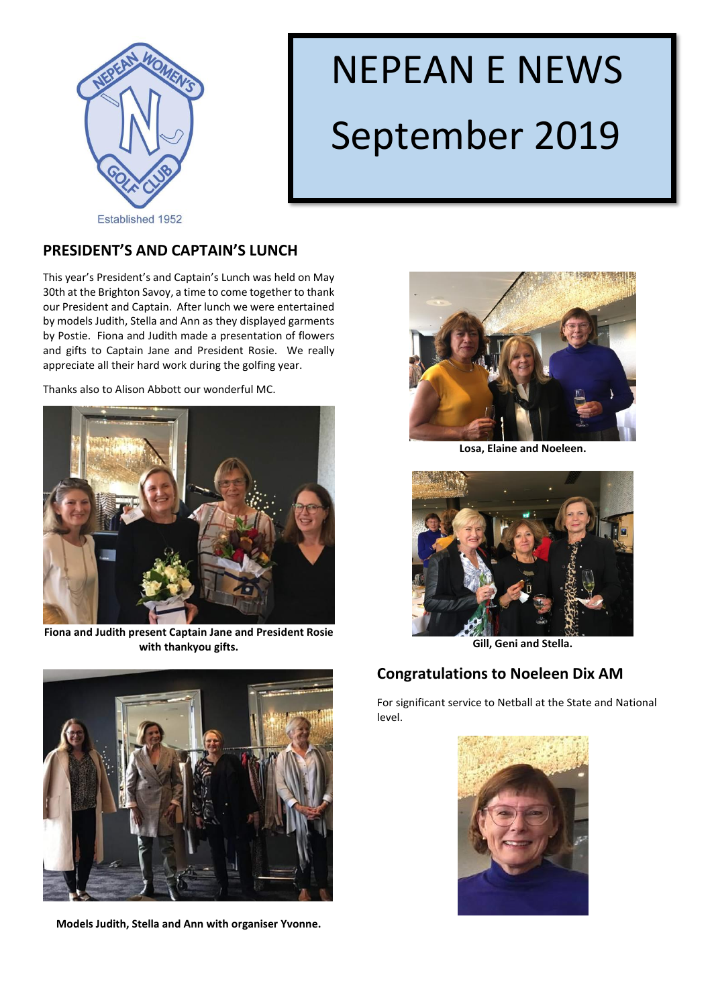

# NEPEAN E NEWS September 2019

# **PRESIDENT'S AND CAPTAIN'S LUNCH**

This year's President's and Captain's Lunch was held on May 30th at the Brighton Savoy, a time to come together to thank our President and Captain. After lunch we were entertained by models Judith, Stella and Ann as they displayed garments by Postie. Fiona and Judith made a presentation of flowers and gifts to Captain Jane and President Rosie. We really appreciate all their hard work during the golfing year.

Thanks also to Alison Abbott our wonderful MC.



**Fiona and Judith present Captain Jane and President Rosie with thankyou gifts.**



**Models Judith, Stella and Ann with organiser Yvonne.**



**Losa, Elaine and Noeleen.**



**Gill, Geni and Stella.**

## **Congratulations to Noeleen Dix AM**

For significant service to Netball at the State and National level.

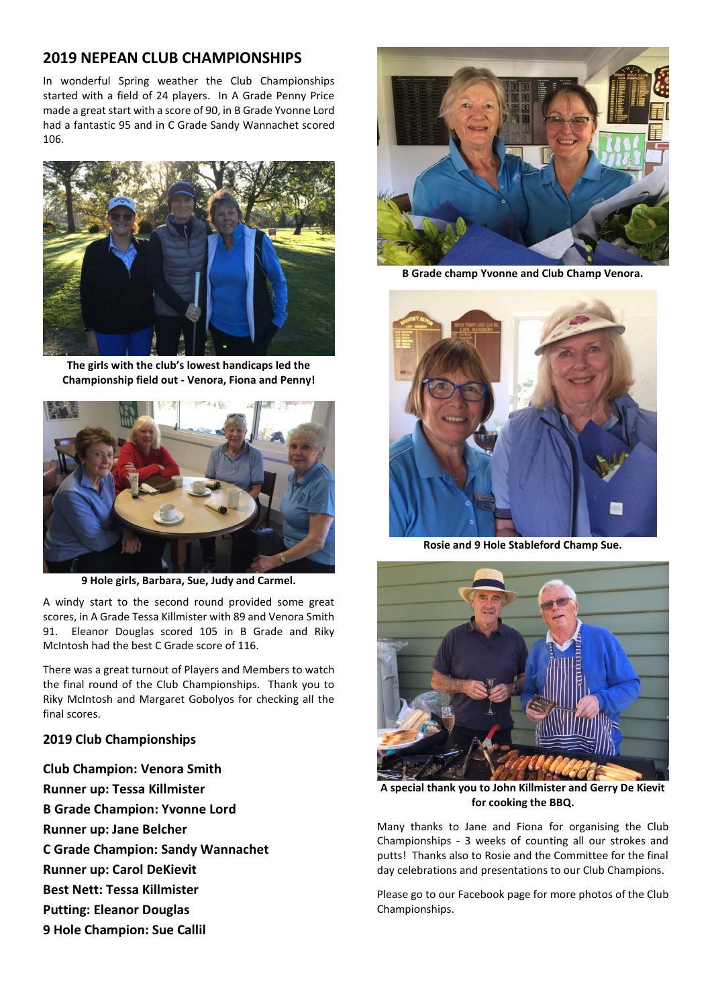#### **2019 NEPEAN CLUB CHAMPIONSHIPS**

In wonderful Spring weather the Club Championships started with a field of 24 players. In A Grade Penny Price made a great start with a score of 90, in B Grade Yvonne Lord had a fantastic 95 and in C Grade Sandy Wannachet scored 106.



**The girls with the club's lowest handicaps led the Championship field out - Venora, Fiona and Penny!**



**9 Hole girls, Barbara, Sue, Judy and Carmel.**

A windy start to the second round provided some great scores, in A Grade Tessa Killmister with 89 and Venora Smith 91. Eleanor Douglas scored 105 in B Grade and Riky McIntosh had the best C Grade score of 116.

There was a great turnout of Players and Members to watch the final round of the Club Championships. Thank you to Riky McIntosh and Margaret Gobolyos for checking all the final scores.

#### **2019 Club Championships**

**Club Champion: Venora Smith Runner up: Tessa Killmister B Grade Champion: Yvonne Lord Runner up: Jane Belcher C Grade Champion: Sandy Wannachet Runner up: Carol DeKievit Best Nett: Tessa Killmister Putting: Eleanor Douglas 9 Hole Champion: Sue Callil** 



**B Grade champ Yvonne and Club Champ Venora.**



**Rosie and 9 Hole Stableford Champ Sue.**



**A special thank you to John Killmister and Gerry De Kievit for cooking the BBQ.**

Many thanks to Jane and Fiona for organising the Club Championships - 3 weeks of counting all our strokes and putts! Thanks also to Rosie and the Committee for the final day celebrations and presentations to our Club Champions.

Please go to our Facebook page for more photos of the Club Championships.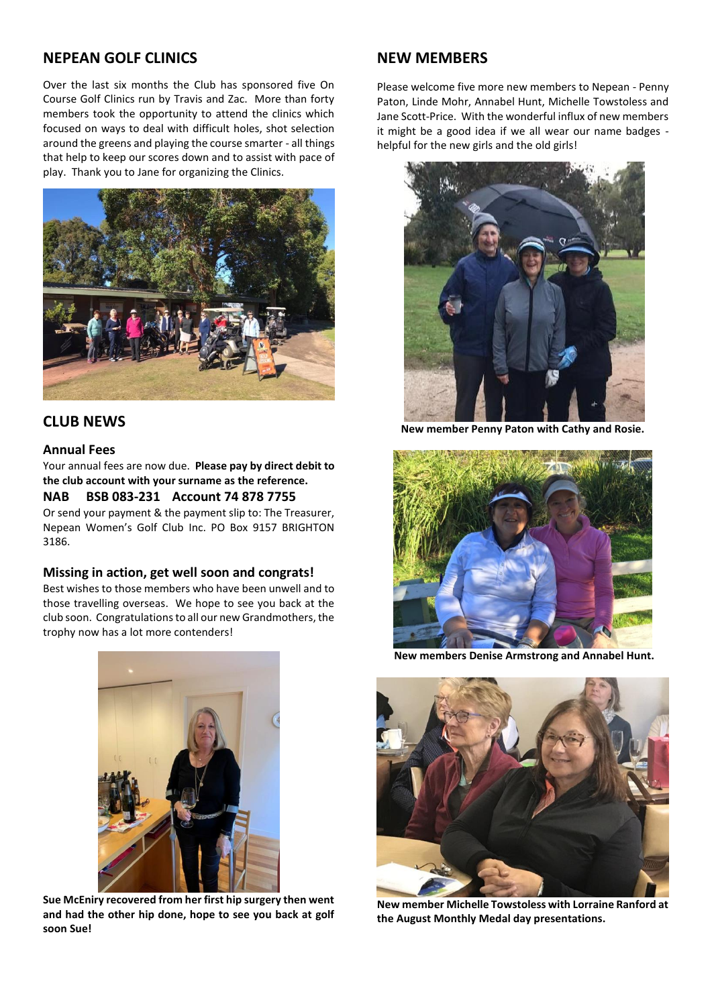#### **NEPEAN GOLF CLINICS**

Over the last six months the Club has sponsored five On Course Golf Clinics run by Travis and Zac. More than forty members took the opportunity to attend the clinics which focused on ways to deal with difficult holes, shot selection around the greens and playing the course smarter - all things that help to keep our scores down and to assist with pace of play. Thank you to Jane for organizing the Clinics.



#### **CLUB NEWS**

#### **Annual Fees**

Your annual fees are now due. **Please pay by direct debit to the club account with your surname as the reference.** 

#### **NAB BSB 083-231 Account 74 878 7755**

Or send your payment & the payment slip to: The Treasurer, Nepean Women's Golf Club Inc. PO Box 9157 BRIGHTON 3186.

#### **Missing in action, get well soon and congrats!**

Best wishes to those members who have been unwell and to those travelling overseas. We hope to see you back at the club soon. Congratulations to all our new Grandmothers, the trophy now has a lot more contenders!



**Sue McEniry recovered from her first hip surgery then went and had the other hip done, hope to see you back at golf soon Sue!**

#### **NEW MEMBERS**

Please welcome five more new members to Nepean - Penny Paton, Linde Mohr, Annabel Hunt, Michelle Towstoless and Jane Scott-Price. With the wonderful influx of new members it might be a good idea if we all wear our name badges helpful for the new girls and the old girls!



**New member Penny Paton with Cathy and Rosie.** 



**New members Denise Armstrong and Annabel Hunt.**



**New member Michelle Towstoless with Lorraine Ranford at the August Monthly Medal day presentations.**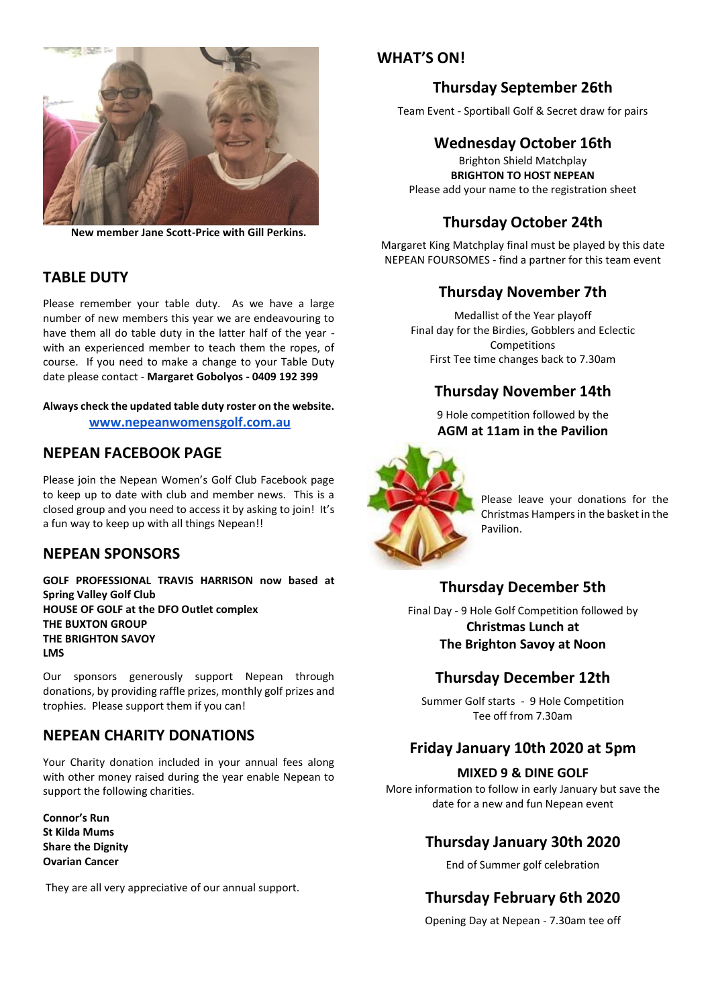

**New member Jane Scott-Price with Gill Perkins.**

## **TABLE DUTY**

Please remember your table duty. As we have a large number of new members this year we are endeavouring to have them all do table duty in the latter half of the year with an experienced member to teach them the ropes, of course. If you need to make a change to your Table Duty date please contact - **Margaret Gobolyos - 0409 192 399**

#### **Always check the updated table duty roster on the website.**

 **[www.nepeanwomensgolf.com.au](http://www.nepeanwomensgolf.com.au/)**

#### **NEPEAN FACEBOOK PAGE**

Please join the Nepean Women's Golf Club Facebook page to keep up to date with club and member news. This is a closed group and you need to access it by asking to join! It's a fun way to keep up with all things Nepean!!

#### **NEPEAN SPONSORS**

**GOLF PROFESSIONAL TRAVIS HARRISON now based at Spring Valley Golf Club HOUSE OF GOLF at the DFO Outlet complex THE BUXTON GROUP THE BRIGHTON SAVOY LMS**

Our sponsors generously support Nepean through donations, by providing raffle prizes, monthly golf prizes and trophies. Please support them if you can!

## **NEPEAN CHARITY DONATIONS**

Your Charity donation included in your annual fees along with other money raised during the year enable Nepean to support the following charities.

**Connor's Run St Kilda Mums Share the Dignity Ovarian Cancer**

They are all very appreciative of our annual support.

#### **WHAT'S ON!**

## **Thursday September 26th**

Team Event - Sportiball Golf & Secret draw for pairs

## **Wednesday October 16th**

Brighton Shield Matchplay **BRIGHTON TO HOST NEPEAN** Please add your name to the registration sheet

# **Thursday October 24th**

Margaret King Matchplay final must be played by this date NEPEAN FOURSOMES - find a partner for this team event

## **Thursday November 7th**

Medallist of the Year playoff Final day for the Birdies, Gobblers and Eclectic Competitions First Tee time changes back to 7.30am

## **Thursday November 14th**

9 Hole competition followed by the **AGM at 11am in the Pavilion**



Please leave your donations for the Christmas Hampers in the basket in the Pavilion.

# **Thursday December 5th**

Final Day - 9 Hole Golf Competition followed by **Christmas Lunch at The Brighton Savoy at Noon**

## **Thursday December 12th**

Summer Golf starts - 9 Hole Competition Tee off from 7.30am

## **Friday January 10th 2020 at 5pm**

#### **MIXED 9 & DINE GOLF**

More information to follow in early January but save the date for a new and fun Nepean event

# **Thursday January 30th 2020**

End of Summer golf celebration

# **Thursday February 6th 2020**

Opening Day at Nepean - 7.30am tee off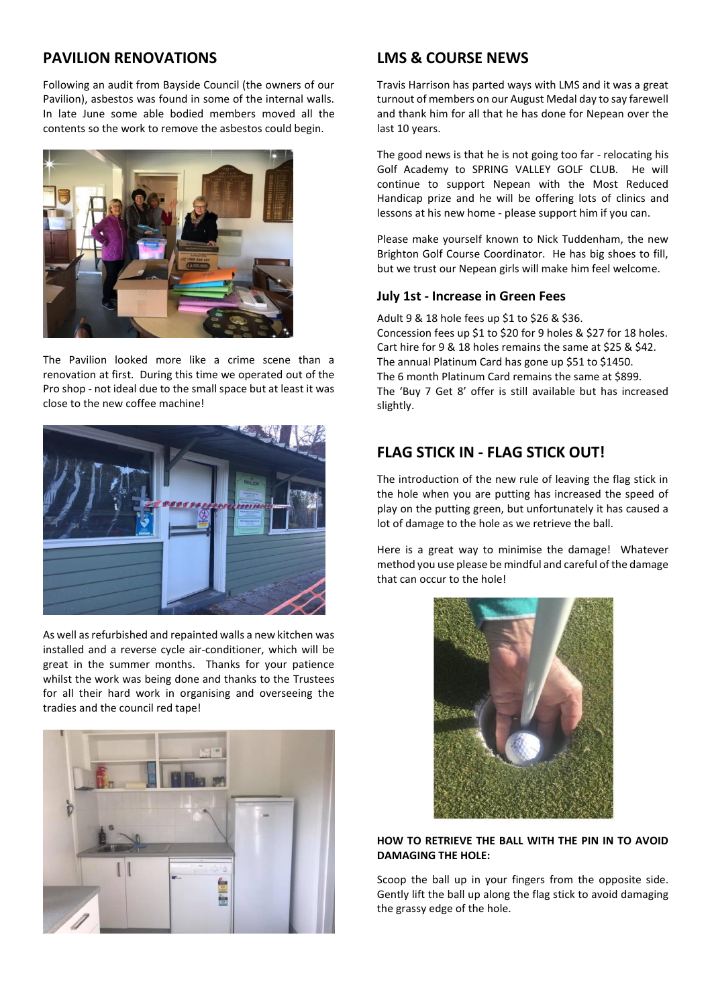## **PAVILION RENOVATIONS**

Following an audit from Bayside Council (the owners of our Pavilion), asbestos was found in some of the internal walls. In late June some able bodied members moved all the contents so the work to remove the asbestos could begin.



The Pavilion looked more like a crime scene than a renovation at first. During this time we operated out of the Pro shop - not ideal due to the small space but at least it was close to the new coffee machine!



As well as refurbished and repainted walls a new kitchen was installed and a reverse cycle air-conditioner, which will be great in the summer months. Thanks for your patience whilst the work was being done and thanks to the Trustees for all their hard work in organising and overseeing the tradies and the council red tape!



## **LMS & COURSE NEWS**

Travis Harrison has parted ways with LMS and it was a great turnout of members on our August Medal day to say farewell and thank him for all that he has done for Nepean over the last 10 years.

The good news is that he is not going too far - relocating his Golf Academy to SPRING VALLEY GOLF CLUB. He will continue to support Nepean with the Most Reduced Handicap prize and he will be offering lots of clinics and lessons at his new home - please support him if you can.

Please make yourself known to Nick Tuddenham, the new Brighton Golf Course Coordinator. He has big shoes to fill, but we trust our Nepean girls will make him feel welcome.

#### **July 1st - Increase in Green Fees**

Adult 9 & 18 hole fees up \$1 to \$26 & \$36. Concession fees up \$1 to \$20 for 9 holes & \$27 for 18 holes. Cart hire for 9 & 18 holes remains the same at \$25 & \$42. The annual Platinum Card has gone up \$51 to \$1450. The 6 month Platinum Card remains the same at \$899. The 'Buy 7 Get 8' offer is still available but has increased slightly.

# **FLAG STICK IN - FLAG STICK OUT!**

The introduction of the new rule of leaving the flag stick in the hole when you are putting has increased the speed of play on the putting green, but unfortunately it has caused a lot of damage to the hole as we retrieve the ball.

Here is a great way to minimise the damage! Whatever method you use please be mindful and careful of the damage that can occur to the hole!



#### **HOW TO RETRIEVE THE BALL WITH THE PIN IN TO AVOID DAMAGING THE HOLE:**

Scoop the ball up in your fingers from the opposite side. Gently lift the ball up along the flag stick to avoid damaging the grassy edge of the hole.